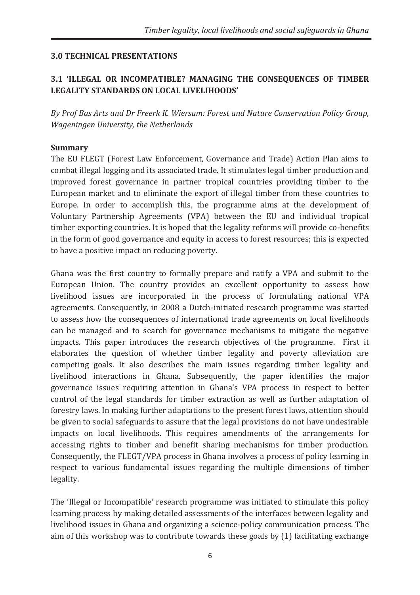#### **3.0 TECHNICAL PRESENTATIONS**

#### **3.1 'ILLEGAL OR INCOMPATIBLE? MANAGING THE CONSEQUENCES OF TIMBER LEGALITY STANDARDS ON LOCAL LIVELIHOODS'**

*By Prof Bas Arts and Dr Freerk K. Wiersum: Forest and Nature Conservation Policy Group, Wageningen University, the Netherlands* 

#### **Summary**

The EU FLEGT (Forest Law Enforcement, Governance and Trade) Action Plan aims to combat illegal logging and its associated trade. It stimulates legal timber production and improved forest governance in partner tropical countries providing timber to the European market and to eliminate the export of illegal timber from these countries to Europe. In order to accomplish this, the programme aims at the development of Voluntary Partnership Agreements (VPA) between the EU and individual tropical timber exporting countries. It is hoped that the legality reforms will provide co-benefits in the form of good governance and equity in access to forest resources; this is expected to have a positive impact on reducing poverty.

Ghana was the first country to formally prepare and ratify a VPA and submit to the European Union. The country provides an excellent opportunity to assess how livelihood issues are incorporated in the process of formulating national VPA agreements. Consequently, in 2008 a Dutch-initiated research programme was started to assess how the consequences of international trade agreements on local livelihoods can be managed and to search for governance mechanisms to mitigate the negative impacts. This paper introduces the research objectives of the programme. First it elaborates the question of whether timber legality and poverty alleviation are competing goals. It also describes the main issues regarding timber legality and livelihood interactions in Ghana. Subsequently, the paper identifies the major governance issues requiring attention in Ghana's VPA process in respect to better control of the legal standards for timber extraction as well as further adaptation of forestry laws. In making further adaptations to the present forest laws, attention should be given to social safeguards to assure that the legal provisions do not have undesirable impacts on local livelihoods. This requires amendments of the arrangements for accessing rights to timber and benefit sharing mechanisms for timber production. Consequently, the FLEGT/VPA process in Ghana involves a process of policy learning in respect to various fundamental issues regarding the multiple dimensions of timber legality.

The 'Illegal or Incompatible' research programme was initiated to stimulate this policy learning process by making detailed assessments of the interfaces between legality and livelihood issues in Ghana and organizing a science-policy communication process. The aim of this workshop was to contribute towards these goals by (1) facilitating exchange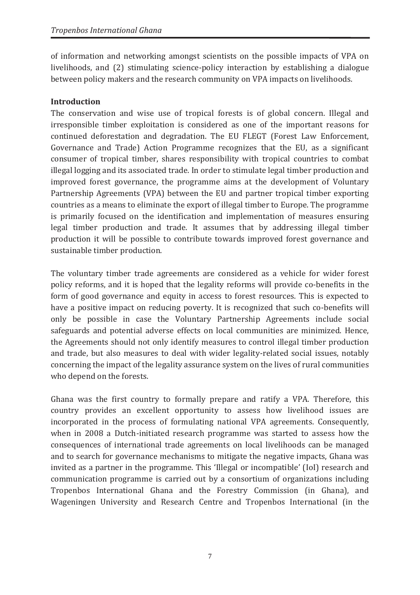of information and networking amongst scientists on the possible impacts of VPA on livelihoods, and (2) stimulating science-policy interaction by establishing a dialogue between policy makers and the research community on VPA impacts on livelihoods.

#### **Introduction**

The conservation and wise use of tropical forests is of global concern. Illegal and irresponsible timber exploitation is considered as one of the important reasons for continued deforestation and degradation. The EU FLEGT (Forest Law Enforcement, Governance and Trade) Action Programme recognizes that the EU, as a significant consumer of tropical timber, shares responsibility with tropical countries to combat illegal logging and its associated trade. In order to stimulate legal timber production and improved forest governance, the programme aims at the development of Voluntary Partnership Agreements (VPA) between the EU and partner tropical timber exporting countries as a means to eliminate the export of illegal timber to Europe. The programme is primarily focused on the identification and implementation of measures ensuring legal timber production and trade. It assumes that by addressing illegal timber production it will be possible to contribute towards improved forest governance and sustainable timber production.

The voluntary timber trade agreements are considered as a vehicle for wider forest policy reforms, and it is hoped that the legality reforms will provide co-benefits in the form of good governance and equity in access to forest resources. This is expected to have a positive impact on reducing poverty. It is recognized that such co-benefits will only be possible in case the Voluntary Partnership Agreements include social safeguards and potential adverse effects on local communities are minimized. Hence, the Agreements should not only identify measures to control illegal timber production and trade, but also measures to deal with wider legality-related social issues, notably concerning the impact of the legality assurance system on the lives of rural communities who depend on the forests.

Ghana was the first country to formally prepare and ratify a VPA. Therefore, this country provides an excellent opportunity to assess how livelihood issues are incorporated in the process of formulating national VPA agreements. Consequently, when in 2008 a Dutch-initiated research programme was started to assess how the consequences of international trade agreements on local livelihoods can be managed and to search for governance mechanisms to mitigate the negative impacts, Ghana was invited as a partner in the programme. This 'Illegal or incompatible' (IoI) research and communication programme is carried out by a consortium of organizations including Tropenbos International Ghana and the Forestry Commission (in Ghana), and Wageningen University and Research Centre and Tropenbos International (in the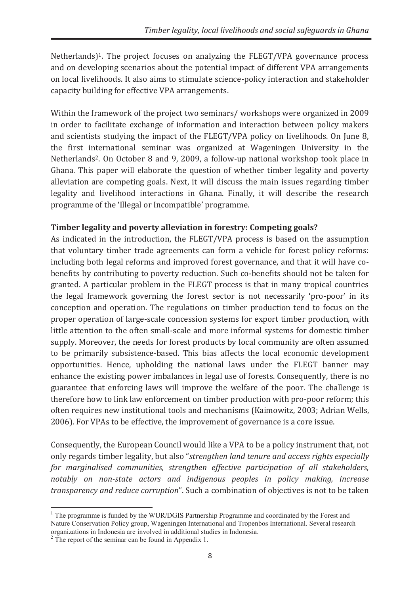Netherlands)<sup>1</sup>. The project focuses on analyzing the FLEGT/VPA governance process and on developing scenarios about the potential impact of different VPA arrangements on local livelihoods. It also aims to stimulate science-policy interaction and stakeholder capacity building for effective VPA arrangements.

Within the framework of the project two seminars/ workshops were organized in 2009 in order to facilitate exchange of information and interaction between policy makers and scientists studying the impact of the FLEGT/VPA policy on livelihoods. On June 8, the first international seminar was organized at Wageningen University in the Netherlands<sup>2</sup>. On October 8 and 9, 2009, a follow-up national workshop took place in Ghana. This paper will elaborate the question of whether timber legality and poverty alleviation are competing goals. Next, it will discuss the main issues regarding timber legality and livelihood interactions in Ghana. Finally, it will describe the research programme of the 'Illegal or Incompatible' programme.

## **Timber legality and poverty alleviation in forestry: Competing goals?**

As indicated in the introduction, the FLEGT/VPA process is based on the assumption that voluntary timber trade agreements can form a vehicle for forest policy reforms: including both legal reforms and improved forest governance, and that it will have cobenefits by contributing to poverty reduction. Such co-benefits should not be taken for granted. A particular problem in the FLEGT process is that in many tropical countries the legal framework governing the forest sector is not necessarily 'pro-poor' in its conception and operation. The regulations on timber production tend to focus on the proper operation of large-scale concession systems for export timber production, with little attention to the often small-scale and more informal systems for domestic timber supply. Moreover, the needs for forest products by local community are often assumed to be primarily subsistence-based. This bias affects the local economic development opportunities. Hence, upholding the national laws under the FLEGT banner may enhance the existing power imbalances in legal use of forests. Consequently, there is no guarantee that enforcing laws will improve the welfare of the poor. The challenge is therefore how to link law enforcement on timber production with pro-poor reform; this often requires new institutional tools and mechanisms (Kaimowitz, 2003; Adrian Wells, 2006). For VPAs to be effective, the improvement of governance is a core issue.

Consequently, the European Council would like a VPA to be a policy instrument that, not only regards timber legality, but also "*strengthen land tenure and access rights especially for marginalised communities, strengthen effective participation of all stakeholders, notably on non-state actors and indigenous peoples in policy making, increase transparency and reduce corruption*". Such a combination of objectives is not to be taken

 $\overline{a}$ 

<sup>&</sup>lt;sup>1</sup> The programme is funded by the WUR/DGIS Partnership Programme and coordinated by the Forest and Nature Conservation Policy group, Wageningen International and Tropenbos International. Several research

organizations in Indonesia are involved in additional studies in Indonesia. 2 The report of the seminar can be found in Appendix 1.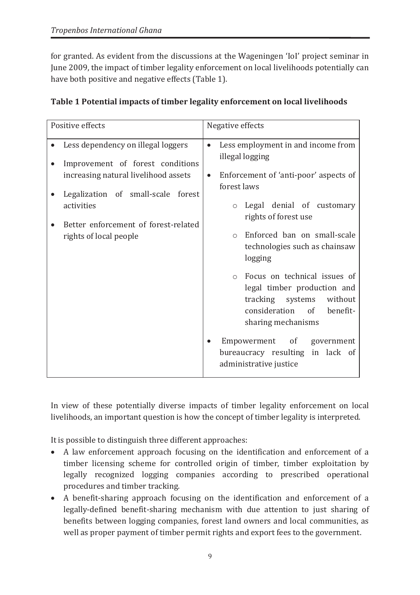for granted. As evident from the discussions at the Wageningen 'IoI' project seminar in June 2009, the impact of timber legality enforcement on local livelihoods potentially can have both positive and negative effects (Table 1).

| Positive effects                                                                                                                                                                                                                     | Negative effects                                                                                                                                                                                                                                                                                                                                                                                                                                                                                                                        |  |  |  |
|--------------------------------------------------------------------------------------------------------------------------------------------------------------------------------------------------------------------------------------|-----------------------------------------------------------------------------------------------------------------------------------------------------------------------------------------------------------------------------------------------------------------------------------------------------------------------------------------------------------------------------------------------------------------------------------------------------------------------------------------------------------------------------------------|--|--|--|
| Less dependency on illegal loggers<br>Improvement of forest conditions<br>increasing natural livelihood assets<br>Legalization of small-scale forest<br>activities<br>Better enforcement of forest-related<br>rights of local people | Less employment in and income from<br>$\bullet$<br>illegal logging<br>Enforcement of 'anti-poor' aspects of<br>$\bullet$<br>forest laws<br>o Legal denial of customary<br>rights of forest use<br>Enforced ban on small-scale<br>$\cap$<br>technologies such as chainsaw<br>logging<br>o Focus on technical issues of<br>legal timber production and<br>tracking systems<br>without<br>consideration of<br>benefit-<br>sharing mechanisms<br>Empowerment of<br>government<br>bureaucracy resulting in lack of<br>administrative justice |  |  |  |

|  | Table 1 Potential impacts of timber legality enforcement on local livelihoods |
|--|-------------------------------------------------------------------------------|
|--|-------------------------------------------------------------------------------|

In view of these potentially diverse impacts of timber legality enforcement on local livelihoods, an important question is how the concept of timber legality is interpreted.

It is possible to distinguish three different approaches:

- · A law enforcement approach focusing on the identification and enforcement of a timber licensing scheme for controlled origin of timber, timber exploitation by legally recognized logging companies according to prescribed operational procedures and timber tracking.
- · A benefit-sharing approach focusing on the identification and enforcement of a legally-defined benefit-sharing mechanism with due attention to just sharing of benefits between logging companies, forest land owners and local communities, as well as proper payment of timber permit rights and export fees to the government.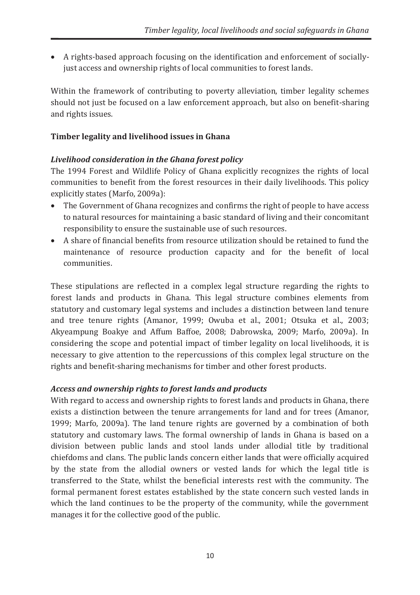· A rights-based approach focusing on the identification and enforcement of sociallyjust access and ownership rights of local communities to forest lands.

Within the framework of contributing to poverty alleviation, timber legality schemes should not just be focused on a law enforcement approach, but also on benefit-sharing and rights issues.

#### **Timber legality and livelihood issues in Ghana**

#### *Livelihood consideration in the Ghana forest policy*

The 1994 Forest and Wildlife Policy of Ghana explicitly recognizes the rights of local communities to benefit from the forest resources in their daily livelihoods. This policy explicitly states (Marfo, 2009a):

- · The Government of Ghana recognizes and confirms the right of people to have access to natural resources for maintaining a basic standard of living and their concomitant responsibility to ensure the sustainable use of such resources.
- · A share of financial benefits from resource utilization should be retained to fund the maintenance of resource production capacity and for the benefit of local communities.

These stipulations are reflected in a complex legal structure regarding the rights to forest lands and products in Ghana. This legal structure combines elements from statutory and customary legal systems and includes a distinction between land tenure and tree tenure rights (Amanor, 1999; Owuba et al., 2001; Otsuka et al., 2003; Akyeampung Boakye and Affum Baffoe, 2008; Dabrowska, 2009; Marfo, 2009a). In considering the scope and potential impact of timber legality on local livelihoods, it is necessary to give attention to the repercussions of this complex legal structure on the rights and benefit-sharing mechanisms for timber and other forest products.

## *Access and ownership rights to forest lands and products*

With regard to access and ownership rights to forest lands and products in Ghana, there exists a distinction between the tenure arrangements for land and for trees (Amanor, 1999; Marfo, 2009a). The land tenure rights are governed by a combination of both statutory and customary laws. The formal ownership of lands in Ghana is based on a division between public lands and stool lands under allodial title by traditional chiefdoms and clans. The public lands concern either lands that were officially acquired by the state from the allodial owners or vested lands for which the legal title is transferred to the State, whilst the beneficial interests rest with the community. The formal permanent forest estates established by the state concern such vested lands in which the land continues to be the property of the community, while the government manages it for the collective good of the public.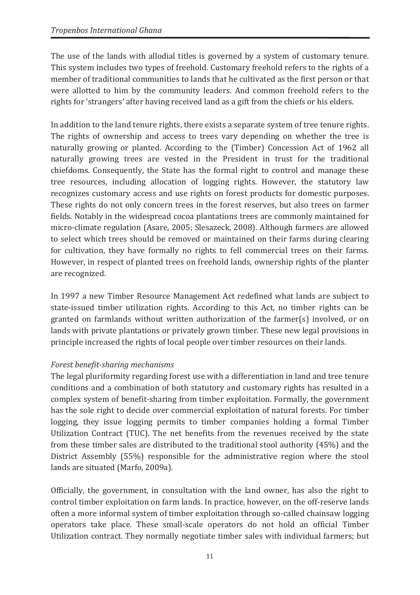The use of the lands with allodial titles is governed by a system of customary tenure. This system includes two types of freehold. Customary freehold refers to the rights of a member of traditional communities to lands that he cultivated as the first person or that were allotted to him by the community leaders. And common freehold refers to the rights for 'strangers' after having received land as a gift from the chiefs or his elders.

In addition to the land tenure rights, there exists a separate system of tree tenure rights. The rights of ownership and access to trees vary depending on whether the tree is naturally growing or planted. According to the (Timber) Concession Act of 1962 all naturally growing trees are vested in the President in trust for the traditional chiefdoms. Consequently, the State has the formal right to control and manage these tree resources, including allocation of logging rights. However, the statutory law recognizes customary access and use rights on forest products for domestic purposes. These rights do not only concern trees in the forest reserves, but also trees on farmer fields. Notably in the widespread cocoa plantations trees are commonly maintained for micro-climate regulation (Asare, 2005; Slesazeck, 2008). Although farmers are allowed to select which trees should be removed or maintained on their farms during clearing for cultivation, they have formally no rights to fell commercial trees on their farms. However, in respect of planted trees on freehold lands, ownership rights of the planter are recognized.

In 1997 a new Timber Resource Management Act redefined what lands are subject to state-issued timber utilization rights. According to this Act, no timber rights can be granted on farmlands without written authorization of the farmer(s) involved, or on lands with private plantations or privately grown timber. These new legal provisions in principle increased the rights of local people over timber resources on their lands.

## *Forest benefit-sharing mechanisms*

The legal pluriformity regarding forest use with a differentiation in land and tree tenure conditions and a combination of both statutory and customary rights has resulted in a complex system of benefit-sharing from timber exploitation. Formally, the government has the sole right to decide over commercial exploitation of natural forests. For timber logging, they issue logging permits to timber companies holding a formal Timber Utilization Contract (TUC). The net benefits from the revenues received by the state from these timber sales are distributed to the traditional stool authority (45%) and the District Assembly (55%) responsible for the administrative region where the stool lands are situated (Marfo, 2009a).

Officially, the government, in consultation with the land owner, has also the right to control timber exploitation on farm lands. In practice, however, on the off-reserve lands often a more informal system of timber exploitation through so-called chainsaw logging operators take place. These small-scale operators do not hold an official Timber Utilization contract. They normally negotiate timber sales with individual farmers; but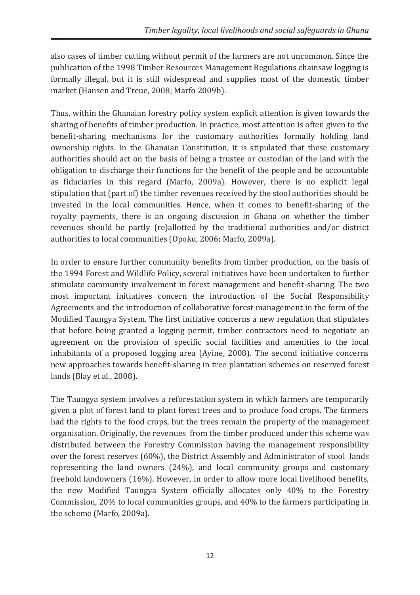also cases of timber cutting without permit of the farmers are not uncommon. Since the publication of the 1998 Timber Resources Management Regulations chainsaw logging is formally illegal, but it is still widespread and supplies most of the domestic timber market (Hansen and Treue, 2008; Marfo 2009b).

Thus, within the Ghanaian forestry policy system explicit attention is given towards the sharing of benefits of timber production. In practice, most attention is often given to the benefit-sharing mechanisms for the customary authorities formally holding land ownership rights. In the Ghanaian Constitution, it is stipulated that these customary authorities should act on the basis of being a trustee or custodian of the land with the obligation to discharge their functions for the benefit of the people and be accountable as fiduciaries in this regard (Marfo, 2009a). However, there is no explicit legal stipulation that (part of) the timber revenues received by the stool authorities should be invested in the local communities. Hence, when it comes to benefit-sharing of the royalty payments, there is an ongoing discussion in Ghana on whether the timber revenues should be partly (re)allotted by the traditional authorities and/or district authorities to local communities (Opoku, 2006; Marfo, 2009a).

In order to ensure further community benefits from timber production, on the basis of the 1994 Forest and Wildlife Policy, several initiatives have been undertaken to further stimulate community involvement in forest management and benefit-sharing. The two most important initiatives concern the introduction of the Social Responsibility Agreements and the introduction of collaborative forest management in the form of the Modified Taungya System. The first initiative concerns a new regulation that stipulates that before being granted a logging permit, timber contractors need to negotiate an agreement on the provision of specific social facilities and amenities to the local inhabitants of a proposed logging area (Ayine, 2008). The second initiative concerns new approaches towards benefit-sharing in tree plantation schemes on reserved forest lands (Blay et al., 2008).

The Taungya system involves a reforestation system in which farmers are temporarily given a plot of forest land to plant forest trees and to produce food crops. The farmers had the rights to the food crops, but the trees remain the property of the management organisation. Originally, the revenues from the timber produced under this scheme was distributed between the Forestry Commission having the management responsibility over the forest reserves (60%), the District Assembly and Administrator of stool lands representing the land owners (24%), and local community groups and customary freehold landowners (16%). However, in order to allow more local livelihood benefits, the new Modified Taungya System officially allocates only 40% to the Forestry Commission, 20% to local communities groups, and 40% to the farmers participating in the scheme (Marfo, 2009a).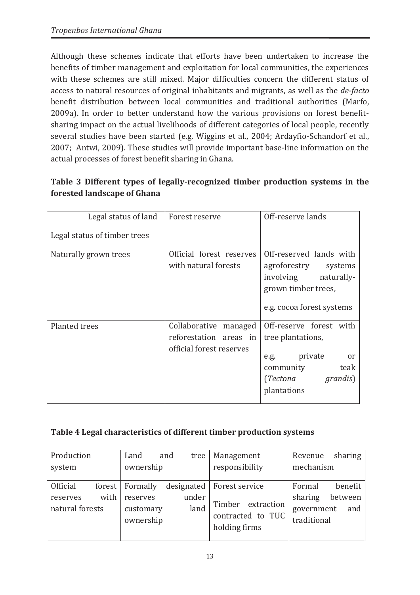Although these schemes indicate that efforts have been undertaken to increase the benefits of timber management and exploitation for local communities, the experiences with these schemes are still mixed. Major difficulties concern the different status of access to natural resources of original inhabitants and migrants, as well as the *de-facto* benefit distribution between local communities and traditional authorities (Marfo, 2009a). In order to better understand how the various provisions on forest benefitsharing impact on the actual livelihoods of different categories of local people, recently several studies have been started (e.g. Wiggins et al., 2004; Ardayfio-Schandorf et al., 2007; Antwi, 2009). These studies will provide important base-line information on the actual processes of forest benefit sharing in Ghana.

# **Table 3 Different types of legally-recognized timber production systems in the forested landscape of Ghana**

| Legal status of land         | Forest reserve                                                              | Off-reserve lands                                                                                                                            |
|------------------------------|-----------------------------------------------------------------------------|----------------------------------------------------------------------------------------------------------------------------------------------|
| Legal status of timber trees |                                                                             |                                                                                                                                              |
| Naturally grown trees        | Official forest reserves<br>with natural forests                            | Off-reserved lands with<br>agroforestry systems<br>involving naturally-<br>grown timber trees,<br>e.g. cocoa forest systems                  |
| <b>Planted trees</b>         | Collaborative managed<br>reforestation areas in<br>official forest reserves | Off-reserve forest with<br>tree plantations,<br>private<br>e.g.<br><sub>or</sub><br>teak<br>community<br>(Tectona<br>grandis)<br>plantations |

## **Table 4 Legal characteristics of different timber production systems**

| Production                                             | Land                                                    | and<br>tree   | Management                                                                                | sharing<br>Revenue                                                          |
|--------------------------------------------------------|---------------------------------------------------------|---------------|-------------------------------------------------------------------------------------------|-----------------------------------------------------------------------------|
| system                                                 | ownership                                               |               | responsibility                                                                            | mechanism                                                                   |
| <b>Official</b><br>with<br>reserves<br>natural forests | forest   Formally<br>reserves<br>customary<br>ownership | under<br>land | designated   Forest service<br>Timber<br>extraction<br>contracted to TUC<br>holding firms | benefit<br>Formal<br>sharing<br>between<br>government<br>and<br>traditional |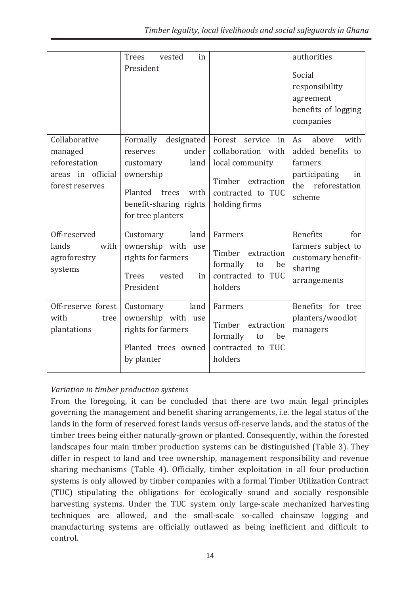|                                                                                   | <b>Trees</b><br>vested<br>in<br>President                                                                                                                |                                                                                                                          | authorities<br>Social<br>responsibility<br>agreement<br>benefits of logging<br>companies                  |
|-----------------------------------------------------------------------------------|----------------------------------------------------------------------------------------------------------------------------------------------------------|--------------------------------------------------------------------------------------------------------------------------|-----------------------------------------------------------------------------------------------------------|
| Collaborative<br>managed<br>reforestation<br>areas in official<br>forest reserves | Formally<br>designated<br>under<br>reserves<br>land<br>customary<br>ownership<br>Planted<br>trees<br>with<br>benefit-sharing rights<br>for tree planters | Forest service<br>in<br>collaboration with<br>local community<br>Timber extraction<br>contracted to TUC<br>holding firms | with<br>As<br>above<br>added benefits to<br>farmers<br>participating<br>in<br>the reforestation<br>scheme |
| Off-reserved<br>lands<br>with<br>agroforestry<br>systems                          | land<br>Customary<br>ownership with use<br>rights for farmers<br><b>Trees</b><br>vested<br>in<br>President                                               | Farmers<br>Timber extraction<br>formally<br>to<br>be<br>contracted to TUC<br>holders                                     | <b>Benefits</b><br>for<br>farmers subject to<br>customary benefit-<br>sharing<br>arrangements             |
| Off-reserve forest<br>with<br>tree<br>plantations                                 | land<br>Customary<br>ownership with use<br>rights for farmers<br>Planted trees owned<br>by planter                                                       | Farmers<br>Timber extraction<br>formally<br>be<br>to<br>contracted to TUC<br>holders                                     | Benefits for tree<br>planters/woodlot<br>managers                                                         |

## *Variation in timber production systems*

From the foregoing, it can be concluded that there are two main legal principles governing the management and benefit sharing arrangements, i.e. the legal status of the lands in the form of reserved forest lands versus off-reserve lands, and the status of the timber trees being either naturally-grown or planted. Consequently, within the forested landscapes four main timber production systems can be distinguished (Table 3). They differ in respect to land and tree ownership, management responsibility and revenue sharing mechanisms (Table 4). Officially, timber exploitation in all four production systems is only allowed by timber companies with a formal Timber Utilization Contract (TUC) stipulating the obligations for ecologically sound and socially responsible harvesting systems. Under the TUC system only large-scale mechanized harvesting techniques are allowed, and the small-scale so-called chainsaw logging and manufacturing systems are officially outlawed as being inefficient and difficult to control.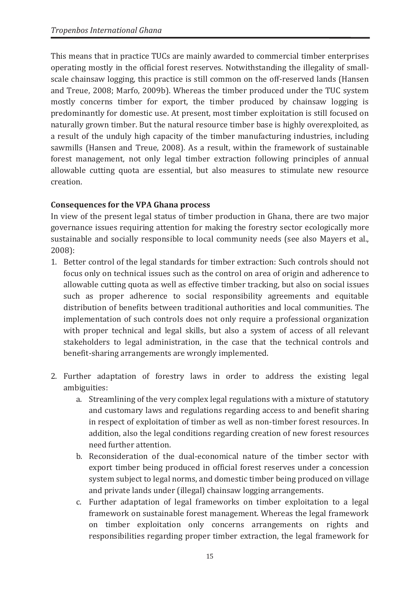This means that in practice TUCs are mainly awarded to commercial timber enterprises operating mostly in the official forest reserves. Notwithstanding the illegality of smallscale chainsaw logging, this practice is still common on the off-reserved lands (Hansen and Treue, 2008; Marfo, 2009b). Whereas the timber produced under the TUC system mostly concerns timber for export, the timber produced by chainsaw logging is predominantly for domestic use. At present, most timber exploitation is still focused on naturally grown timber. But the natural resource timber base is highly overexploited, as a result of the unduly high capacity of the timber manufacturing industries, including sawmills (Hansen and Treue, 2008). As a result, within the framework of sustainable forest management, not only legal timber extraction following principles of annual allowable cutting quota are essential, but also measures to stimulate new resource creation.

## **Consequences for the VPA Ghana process**

In view of the present legal status of timber production in Ghana, there are two major governance issues requiring attention for making the forestry sector ecologically more sustainable and socially responsible to local community needs (see also Mayers et al., 2008):

- 1. Better control of the legal standards for timber extraction: Such controls should not focus only on technical issues such as the control on area of origin and adherence to allowable cutting quota as well as effective timber tracking, but also on social issues such as proper adherence to social responsibility agreements and equitable distribution of benefits between traditional authorities and local communities. The implementation of such controls does not only require a professional organization with proper technical and legal skills, but also a system of access of all relevant stakeholders to legal administration, in the case that the technical controls and benefit-sharing arrangements are wrongly implemented.
- 2. Further adaptation of forestry laws in order to address the existing legal ambiguities:
	- a. Streamlining of the very complex legal regulations with a mixture of statutory and customary laws and regulations regarding access to and benefit sharing in respect of exploitation of timber as well as non-timber forest resources. In addition, also the legal conditions regarding creation of new forest resources need further attention.
	- b. Reconsideration of the dual-economical nature of the timber sector with export timber being produced in official forest reserves under a concession system subject to legal norms, and domestic timber being produced on village and private lands under (illegal) chainsaw logging arrangements.
	- c. Further adaptation of legal frameworks on timber exploitation to a legal framework on sustainable forest management. Whereas the legal framework on timber exploitation only concerns arrangements on rights and responsibilities regarding proper timber extraction, the legal framework for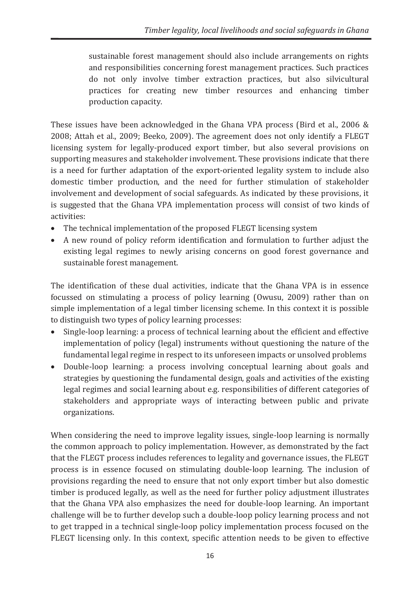sustainable forest management should also include arrangements on rights and responsibilities concerning forest management practices. Such practices do not only involve timber extraction practices, but also silvicultural practices for creating new timber resources and enhancing timber production capacity.

These issues have been acknowledged in the Ghana VPA process (Bird et al., 2006 & 2008; Attah et al., 2009; Beeko, 2009). The agreement does not only identify a FLEGT licensing system for legally-produced export timber, but also several provisions on supporting measures and stakeholder involvement. These provisions indicate that there is a need for further adaptation of the export-oriented legality system to include also domestic timber production, and the need for further stimulation of stakeholder involvement and development of social safeguards. As indicated by these provisions, it is suggested that the Ghana VPA implementation process will consist of two kinds of activities:

- · The technical implementation of the proposed FLEGT licensing system
- · A new round of policy reform identification and formulation to further adjust the existing legal regimes to newly arising concerns on good forest governance and sustainable forest management.

The identification of these dual activities, indicate that the Ghana VPA is in essence focussed on stimulating a process of policy learning (Owusu, 2009) rather than on simple implementation of a legal timber licensing scheme. In this context it is possible to distinguish two types of policy learning processes:

- · Single-loop learning: a process of technical learning about the efficient and effective implementation of policy (legal) instruments without questioning the nature of the fundamental legal regime in respect to its unforeseen impacts or unsolved problems
- · Double-loop learning: a process involving conceptual learning about goals and strategies by questioning the fundamental design, goals and activities of the existing legal regimes and social learning about e.g. responsibilities of different categories of stakeholders and appropriate ways of interacting between public and private organizations.

When considering the need to improve legality issues, single-loop learning is normally the common approach to policy implementation. However, as demonstrated by the fact that the FLEGT process includes references to legality and governance issues, the FLEGT process is in essence focused on stimulating double-loop learning. The inclusion of provisions regarding the need to ensure that not only export timber but also domestic timber is produced legally, as well as the need for further policy adjustment illustrates that the Ghana VPA also emphasizes the need for double-loop learning. An important challenge will be to further develop such a double-loop policy learning process and not to get trapped in a technical single-loop policy implementation process focused on the FLEGT licensing only. In this context, specific attention needs to be given to effective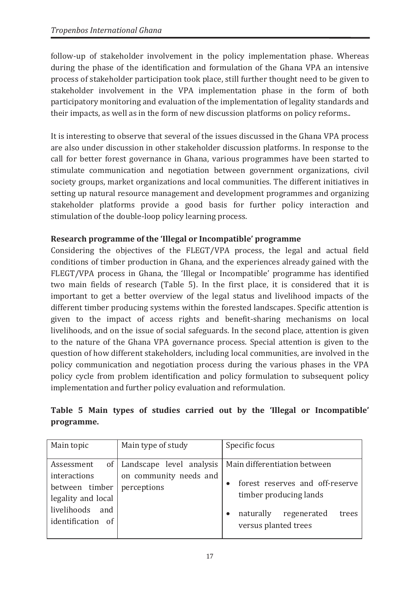follow-up of stakeholder involvement in the policy implementation phase. Whereas during the phase of the identification and formulation of the Ghana VPA an intensive process of stakeholder participation took place, still further thought need to be given to stakeholder involvement in the VPA implementation phase in the form of both participatory monitoring and evaluation of the implementation of legality standards and their impacts, as well as in the form of new discussion platforms on policy reforms..

It is interesting to observe that several of the issues discussed in the Ghana VPA process are also under discussion in other stakeholder discussion platforms. In response to the call for better forest governance in Ghana, various programmes have been started to stimulate communication and negotiation between government organizations, civil society groups, market organizations and local communities. The different initiatives in setting up natural resource management and development programmes and organizing stakeholder platforms provide a good basis for further policy interaction and stimulation of the double-loop policy learning process.

## **Research programme of the 'Illegal or Incompatible' programme**

Considering the objectives of the FLEGT/VPA process, the legal and actual field conditions of timber production in Ghana, and the experiences already gained with the FLEGT/VPA process in Ghana, the 'Illegal or Incompatible' programme has identified two main fields of research (Table 5). In the first place, it is considered that it is important to get a better overview of the legal status and livelihood impacts of the different timber producing systems within the forested landscapes. Specific attention is given to the impact of access rights and benefit-sharing mechanisms on local livelihoods, and on the issue of social safeguards. In the second place, attention is given to the nature of the Ghana VPA governance process. Special attention is given to the question of how different stakeholders, including local communities, are involved in the policy communication and negotiation process during the various phases in the VPA policy cycle from problem identification and policy formulation to subsequent policy implementation and further policy evaluation and reformulation.

|            |  |  |  |  |  | Table 5 Main types of studies carried out by the 'Illegal or Incompatible' |
|------------|--|--|--|--|--|----------------------------------------------------------------------------|
| programme. |  |  |  |  |  |                                                                            |

| Main topic         | Main type of study          | Specific focus                    |  |  |  |
|--------------------|-----------------------------|-----------------------------------|--|--|--|
|                    |                             |                                   |  |  |  |
| Assessment         | of Landscape level analysis | Main differentiation between      |  |  |  |
| interactions       | on community needs and      |                                   |  |  |  |
| between timber     | perceptions                 | forest reserves and off-reserve   |  |  |  |
| legality and local |                             | timber producing lands            |  |  |  |
| livelihoods<br>and |                             | naturally<br>regenerated<br>trees |  |  |  |
| identification of  |                             | versus planted trees              |  |  |  |
|                    |                             |                                   |  |  |  |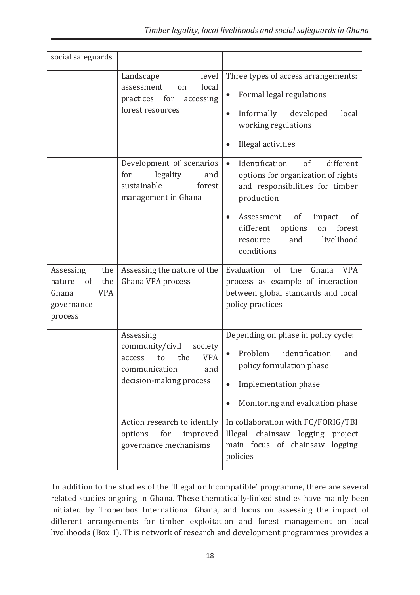| social safeguards                                                                       |                                                                                                                                 |                                                                                                                                                                                                                                                                             |
|-----------------------------------------------------------------------------------------|---------------------------------------------------------------------------------------------------------------------------------|-----------------------------------------------------------------------------------------------------------------------------------------------------------------------------------------------------------------------------------------------------------------------------|
|                                                                                         | level<br>Landscape<br>local<br>assessment<br><sub>on</sub><br>practices for<br>accessing<br>forest resources                    | Three types of access arrangements:<br>Formal legal regulations<br>$\bullet$<br>Informally developed<br>local<br>working regulations<br>Illegal activities                                                                                                                  |
|                                                                                         | Development of scenarios<br>legality<br>for<br>and<br>sustainable<br>forest<br>management in Ghana                              | Identification<br>of<br>different<br>$\bullet$<br>options for organization of rights<br>and responsibilities for timber<br>production<br>Assessment<br>of<br>impact<br><sub>of</sub><br>forest<br>different<br>options<br>on<br>livelihood<br>and<br>resource<br>conditions |
| the<br>Assessing<br>the<br>of<br>nature<br><b>VPA</b><br>Ghana<br>governance<br>process | Assessing the nature of the<br>Ghana VPA process                                                                                | Evaluation<br>of<br>the<br>Ghana<br><b>VPA</b><br>process as example of interaction<br>between global standards and local<br>policy practices                                                                                                                               |
|                                                                                         | Assessing<br>community/civil<br>society<br>the<br><b>VPA</b><br>to<br>access<br>communication<br>and<br>decision-making process | Depending on phase in policy cycle:<br>Problem<br>identification<br>and<br>policy formulation phase<br>Implementation phase<br>Monitoring and evaluation phase<br>$\bullet$                                                                                                 |
|                                                                                         | Action research to identify<br>options<br>for<br>improved<br>governance mechanisms                                              | In collaboration with FC/FORIG/TBI<br>Illegal chainsaw logging project<br>main focus of chainsaw logging<br>policies                                                                                                                                                        |

In addition to the studies of the 'Illegal or Incompatible' programme, there are several related studies ongoing in Ghana. These thematically-linked studies have mainly been initiated by Tropenbos International Ghana, and focus on assessing the impact of different arrangements for timber exploitation and forest management on local livelihoods (Box 1). This network of research and development programmes provides a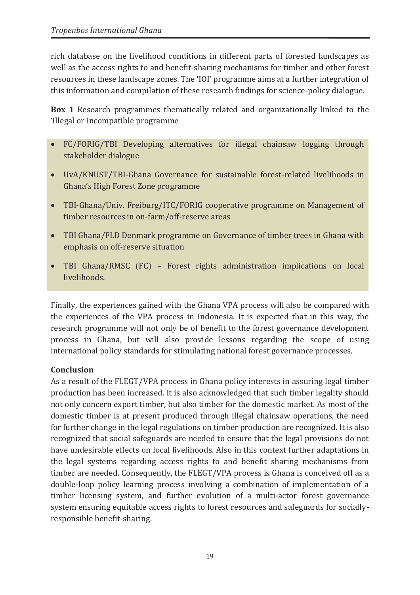rich database on the livelihood conditions in different parts of forested landscapes as well as the access rights to and benefit-sharing mechanisms for timber and other forest resources in these landscape zones. The 'IOI' programme aims at a further integration of this information and compilation of these research findings for science-policy dialogue.

**Box 1** Research programmes thematically related and organizationally linked to the 'Illegal or Incompatible programme

- · FC/FORIG/TBI Developing alternatives for illegal chainsaw logging through stakeholder dialogue
- · UvA/KNUST/TBI-Ghana Governance for sustainable forest-related livelihoods in Ghana's High Forest Zone programme
- · TBI-Ghana/Univ. Freiburg/ITC/FORIG cooperative programme on Management of timber resources in on-farm/off-reserve areas
- · TBI Ghana/FLD Denmark programme on Governance of timber trees in Ghana with emphasis on off-reserve situation
- · TBI Ghana/RMSC (FC) Forest rights administration implications on local livelihoods.

Finally, the experiences gained with the Ghana VPA process will also be compared with the experiences of the VPA process in Indonesia. It is expected that in this way, the research programme will not only be of benefit to the forest governance development process in Ghana, but will also provide lessons regarding the scope of using international policy standards for stimulating national forest governance processes.

## **Conclusion**

As a result of the FLEGT/VPA process in Ghana policy interests in assuring legal timber production has been increased. It is also acknowledged that such timber legality should not only concern export timber, but also timber for the domestic market. As most of the domestic timber is at present produced through illegal chainsaw operations, the need for further change in the legal regulations on timber production are recognized. It is also recognized that social safeguards are needed to ensure that the legal provisions do not have undesirable effects on local livelihoods. Also in this context further adaptations in the legal systems regarding access rights to and benefit sharing mechanisms from timber are needed. Consequently, the FLEGT/VPA process is Ghana is conceived off as a double-loop policy learning process involving a combination of implementation of a timber licensing system, and further evolution of a multi-actor forest governance system ensuring equitable access rights to forest resources and safeguards for sociallyresponsible benefit-sharing.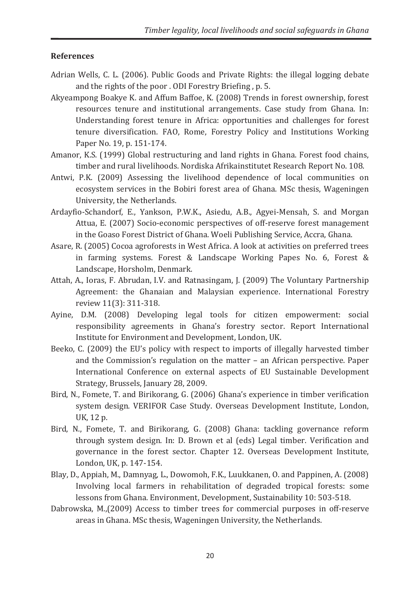#### **References**

- Adrian Wells, C. L. (2006). Public Goods and Private Rights: the illegal logging debate and the rights of the poor . ODI Forestry Briefing , p. 5.
- Akyeampong Boakye K. and Affum Baffoe, K. (2008) Trends in forest ownership, forest resources tenure and institutional arrangements. Case study from Ghana. In: Understanding forest tenure in Africa: opportunities and challenges for forest tenure diversification. FAO, Rome, Forestry Policy and Institutions Working Paper No. 19, p. 151-174.
- Amanor, K.S. (1999) Global restructuring and land rights in Ghana. Forest food chains, timber and rural livelihoods. Nordiska Afrikainstitutet Research Report No. 108.
- Antwi, P.K. (2009) Assessing the livelihood dependence of local communities on ecosystem services in the Bobiri forest area of Ghana. MSc thesis, Wageningen University, the Netherlands.
- Ardayfio-Schandorf, E., Yankson, P.W.K., Asiedu, A.B., Agyei-Mensah, S. and Morgan Attua, E. (2007) Socio-economic perspectives of off-reserve forest management in the Goaso Forest District of Ghana. Woeli Publishing Service, Accra, Ghana.
- Asare, R. (2005) Cocoa agroforests in West Africa. A look at activities on preferred trees in farming systems. Forest & Landscape Working Papes No. 6, Forest & Landscape, Horsholm, Denmark.
- Attah, A., Ioras, F. Abrudan, I.V. and Ratnasingam, J. (2009) The Voluntary Partnership Agreement: the Ghanaian and Malaysian experience. International Forestry review 11(3): 311-318.
- Ayine, D.M. (2008) Developing legal tools for citizen empowerment: social responsibility agreements in Ghana's forestry sector. Report International Institute for Environment and Development, London, UK.
- Beeko, C. (2009) the EU's policy with respect to imports of illegally harvested timber and the Commission's regulation on the matter – an African perspective. Paper International Conference on external aspects of EU Sustainable Development Strategy, Brussels, January 28, 2009.
- Bird, N., Fomete, T. and Birikorang, G. (2006) Ghana's experience in timber verification system design. VERIFOR Case Study. Overseas Development Institute, London, UK, 12 p.
- Bird, N., Fomete, T. and Birikorang, G. (2008) Ghana: tackling governance reform through system design. In: D. Brown et al (eds) Legal timber. Verification and governance in the forest sector. Chapter 12. Overseas Development Institute, London, UK, p. 147-154.
- Blay, D., Appiah, M., Damnyag, L., Dowomoh, F.K., Luukkanen, O. and Pappinen, A. (2008) Involving local farmers in rehabilitation of degraded tropical forests: some lessons from Ghana. Environment, Development, Sustainability 10: 503-518.
- Dabrowska, M.,(2009) Access to timber trees for commercial purposes in off-reserve areas in Ghana. MSc thesis, Wageningen University, the Netherlands.